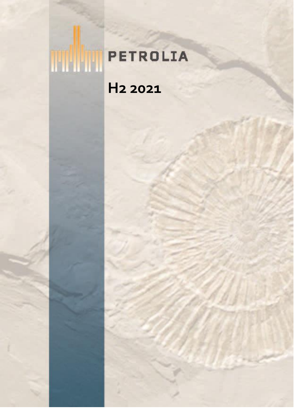# **THE PETROLIA H2 2021**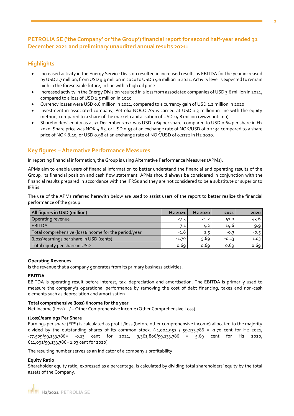## **PETROLIA SE ('the Company' or 'the Group') financial report for second half-year ended 31 December 2021 and preliminary unaudited annual results 2021:**

## **Highlights**

- Increased activity in the Energy Service Division resulted in increased results as EBITDA for the year increased by USD 4.7 million, from USD 9.9 million in 2020 to USD 14.6 million in 2021. Activity level is expected to remain high in the foreseeable future, in line with a high oil price
- Increased activity in the Energy Division resulted in a loss from associated companies of USD 3.6 million in 2021, compared to a loss of USD 1.5 million in 2020
- Currency losses were USD 0.8 million in 2021, compared to a currency gain of USD 1.2 million in 2020
- Investment in associated company, Petrolia NOCO AS is carried at USD 1.3 million in line with the equity method, compared to a share of the market capitalisation of USD 15.8 million (www.notc.no)
- Shareholders' equity as at 31 December 2021 was USD 0.69 per share, compared to USD 0.69 per share in H2 2020. Share price was NOK 4.65, or USD 0.53 at an exchange rate of NOK/USD of 0.1134 compared to a share price of NOK 8.40, or USD 0.98 at an exchange rate of NOK/USD of 0.1172 in H2 2020.

## **Key figures – Alternative Performance Measures**

In reporting financial information, the Group is using Alternative Performance Measures (APMs).

APMs aim to enable users of financial Information to better understand the financial and operating results of the Group, its financial position and cash flow statement. APMs should always be considered in conjunction with the financial results prepared in accordance with the IFRSs and they are not considered to be a substitute or superior to IFRSs.

The use of the APMs referred herewith below are used to assist users of the report to better realize the financial performance of the group.

| All figures in USD (million)                          | H <sub>2</sub> 2021 | H <sub>2</sub> 2020 | 2021    | 2020   |
|-------------------------------------------------------|---------------------|---------------------|---------|--------|
| Operating revenue                                     | 27.5                | 21.2                | 51.0    | 43.6   |
| <b>EBITDA</b>                                         | 7.1                 | 4.2                 | 14.6    | 9.9    |
| Total comprehensive (loss)/income for the period/year | $-1.8$              | 1.5                 | $-0.3$  | $-0.5$ |
| (Loss)/earnings per share in USD (cents)              | -1.70               | 5.69                | $-0.13$ | 1.03   |
| Total equity per share in USD                         | 0.69                | 0.69                | 0.69    | 0.69   |

#### **Operating Revenues**

Is the revenue that a company generates from its primary business activities.

#### **EBITDA**

EBITDA is operating result before interest, tax, depreciation and amortisation. The EBITDA is primarily used to measure the company's operational performance by removing the cost of debt financing, taxes and non-cash elements such as depreciation and amortisation.

#### **Total comprehensive (loss) /income for the year**

Net Income (Loss) + / – Other Comprehensive Income (Other Comprehensive Loss).

#### **(Loss)/earnings Per Share**

Earnings per share (EPS) is calculated as profit /loss (before other comprehensive income) allocated to the majority divided by the outstanding shares of its common stock.  $(-1,004,952 / 59,133,786 = -1.70$  cent for H2 2021, -77,509/59,133,786= -0.13 cent for 2021, 3,361,806/59,133,786 = 5.69 cent for H2 2020, 611,091/59,133,786= 1.03 cent for 2020)

The resulting number serves as an indicator of a company's profitability.

#### **Equity Ratio**

Shareholder equity ratio, expressed as a percentage, is calculated by dividing total shareholders' equity by the total assets of the Company.

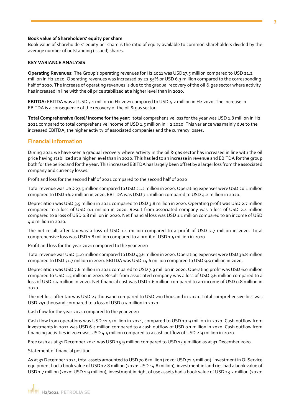#### **Book value of Shareholders' equity per share**

Book value of shareholders' equity per share is the ratio of equity available to common shareholders divided by the average number of outstanding (issued) shares.

#### **KEY VARIANCE ANALYSIS**

**Operating Revenues:** The Group's operating revenues for H2 2021 was USD27.5 million compared to USD 21.2 million in H2 2020. Operating revenues was increased by 22.55% or USD 6.3 million compared to the corresponding half of 2020. The increase of operating revenues is due to the gradual recovery of the oil & gas sector where activity has increased in line with the oil price stabilized at a higher level than in 2020.

**EBITDA:** EBITDA was at USD 7.1 million in H2 2021 compared to USD 4.2 million in H2 2020. The increase in EBITDA is a consequence of the recovery of the oil & gas sector.

**Total Comprehensive (loss)/ income for the year:** total comprehensive loss for the year was USD 1.8 million in H2 2021 compared to total comprehensive income of USD 1.5 million in H2 2020. This variance was mainly due to the increased EBITDA, the higher activity of associated companies and the currency losses.

### **Financial information**

During 2021 we have seen a gradual recovery where activity in the oil & gas sector has increased in line with the oil price having stabilized at a higher level than in 2020. This has led to an increase in revenue and EBITDA for the group both for the period and for the year. This increased EBITDA has largely been offset by a larger loss from the associated company and currency losses.

#### Profit and loss for the second half of 2021 compared to the second half of 2020

Total revenue was USD 27.5 million compared to USD 21.2 million in 2020. Operating expenses were USD 20.1 million compared to USD 16.2 million in 2020. EBITDA was USD 7.1 million compared to USD 4.2 million in 2020.

Depreciation was USD 3.5 million in 2021 compared to USD 3.8 million in 2020. Operating profit was USD 2.7 million compared to a loss of USD 0.1 million in 2020. Result from associated company was a loss of USD 2.4 million compared to a loss of USD 0.8 million in 2020. Net financial loss was USD 1.1 million compared to an income of USD 4.0 million in 2020.

The net result after tax was a loss of USD 1.1 million compared to a profit of USD 2.7 million in 2020. Total comprehensive loss was USD 1.8 million compared to a profit of USD 1.5 million in 2020.

#### Profit and loss for the year 2021 compared to the year 2020

Total revenue was USD 51.0 million compared to USD 43.6 million in 2020. Operating expenses were USD 36.8 million compared to USD 31.7 million in 2020. EBITDA was USD 14.6 million compared to USD 9.9 million in 2020.

Depreciation was USD 7.6 million in 2021 compared to USD 7.9 million in 2020. Operating profit was USD 6.0 million compared to USD 1.5 million in 2020. Result from associated company was a loss of USD 3.6 million compared to a loss of USD 1.5 million in 2020. Net financial cost was USD 1.6 million compared to an income of USD 0.8 million in 2020.

The net loss after tax was USD 23 thousand compared to USD 210 thousand in 2020. Total comprehensive loss was USD 251 thousand compared to a loss of USD 0.5 million in 2020.

#### Cash flow for the year 2021 compared to the year 2020

Cash flow from operations was USD 11.4 million in 2021, compared to USD 10.9 million in 2020. Cash outflow from investments in 2021 was USD 6.4 million compared to a cash outflow of USD 0.1 million in 2020. Cash outflow from financing activities in 2021 was USD 4.5 million compared to a cash outflow of USD 2.9 million in 2020.

Free cash as at 31 December 2021 was USD 15.9 million compared to USD 15.9 million as at 31 December 2020.

#### Statement of financial position

As at 31 December 2021, total assets amounted to USD 70.6 million (2020: USD 71.4 million). Investment in OilService equipment had a book value of USD 12.8 million (2020: USD 14.8 million), investment in land rigs had a book value of USD 1.7 million (2020: USD 1.9 million), investment in right of use assets had a book value of USD 13.2 million (2020: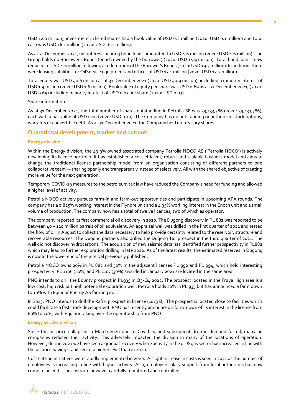USD 12.0 million), investment in listed shares had a book value of USD 0.2 million (2020: USD 0.1 million) and total cash was USD 16.1 million (2020: USD 16.2 million).

As at 31 December 2021, net interest-bearing bond loans amounted to USD 4.6 million (2020: USD 4.6 million). The Group holds no Borrower's Bonds (bonds owned by the borrower) (2020: USD 14.9 million). Total bond loan is now reduced to USD 4.6 million following a redemption of the Borower's Bonds (2020: USD 19.5 million). In addition, there were leasing liabilities for OilService equipment and offices of USD 13.1 million (2020: USD 12.2 million).

Total equity was USD 40.6 million as at 31 December 2021 (2020: USD 40.9 million), including a minority interest of USD 1.9 million (2020: USD 1.6 million). Book value of equity per share was USD 0.69 as at 31 December 2021, (2020: USD 0.69) including minority interest of USD 0.03 per share (2020: USD 0.03).

#### Share information

As at 31 December 2021, the total number of shares outstanding in Petrolia SE was 59,133,786 (2020: 59,133,786), each with a par value of USD 0.10 (2020: USD 0.10). The Company has no outstanding or authorised stock options, warrants or convertible debt. As at 31 December 2021, the Company held no treasury shares.

#### **Operational development, market and outlook**

#### **Energy division**

Within the Energy division, the 49.9% owned associated company Petrolia NOCO AS ('Petrolia NOCO') is actively developing its licence portfolio. It has established a cost efficient, robust and scalable business model and aims to change the traditional license partnership model from an organisation consisting of different partners to one collaborative team — sharing openly and transparently instead of selectively. All with the shared objective of creating more value for the next generation.

Temporary COVID-19 measures to the petroleum tax law have reduced the Company's need for funding and allowed a higher level of activity.

Petrolia NOCO actively pursues farm-in and farm-out opportunities and participate in upcoming APA rounds. The company has a 0.825% working interest in the Flyndre unit and a 4.35% working interest in the Enoch unit and a small volume of production. The company now has a total of twelve licences, two of which as operator.

The company reported its first commercial oil discovery in 2020. The Dugong discovery in PL 882 was reported to be between 40 – 120 million barrels of oil equivalent. An appraisal well was drilled in the first quarter of 2021 and tested the flow of oil in August to collect the data necessary to help provide certainty related to the reservoir, structure and recoverable resources. The Dugong partners also drilled the Dugong Tail prospect in the third quarter of 2021. The well did not discover hydrocarbons. The acquisition of new seismic data has identified further prospectivity in PL882 which may lead to further exploration drilling in late 2022. As of the latest results, the estimated reserves in Dugong is now at the lower end of the interval previously published.

Petrolia NOCO owns 20% in PL 882 and 30% in the adjacent licenses PL 992 and PL 994, which hold interesting prospectivity. PL 1106 (20%) and PL 1107 (30%) awarded in January 2021 are located in the same area.

PNO intends to drill the Bounty prospect in PL935 in Q3-Q4 2022. The prospect located in the Frøya High area is a low cost, high risk but high potential exploration well. Petrolia holds 20% in PL 935 but has announced a farm down to 10% with Equinor Energy AS farming in.

In 2023, PNO intends to drill the Rafiki prospect in license (1013 B). The prospect is located close to facilities which could facilitate a fast-track development. PNO has recently announced a farm-down of its interest in the license from 60% to 20%, with Equinor taking over the operatorship from PNO.

#### **Energy service division**

Since the oil price collapsed in March 2020 due to Covid-19 and subsequent drop in demand for oil, many oil companies reduced their activity. This adversely impacted the division in many of the locations of operation. However, during 2021 we have seen a gradual recovery where activity in the oil & gas sector has increased in line with the oil price having stabilized at a higher level than in 2020.

Cost cutting initiatives were rapidly implemented in 2020. A slight increase in costs is seen in 2021 as the number of employees is increasing in line with higher activity. Also, employee salary support from local authorities has now come to an end. The costs are however carefully monitored and controlled.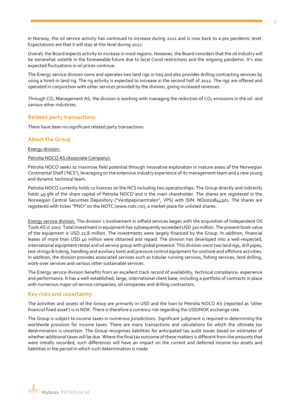In Norway, the oil service activity has continued to increase during 2021 and is now back to a pre pandemic level. Expectations are that it will stay at this level during 2022.

Overall, the Board expects activity to increase in most regions. However, the Board considers that the oil industry will be somewhat volatile in the foreseeable future due to local Covid restrictions and the ongoing pandemic. It's also expected fluctuations in oil prices continue.

The Energy service division owns and operates two land rigs in Iraq and also provides drilling contracting services by using a hired-in land rig. The rig activity is expected to increase in the second half of 2022. The rigs are offered and operated in conjunction with other services provided by the division, giving increased revenues.

Through CO<sub>2</sub> Management AS, the division is working with managing the reduction of CO<sub>2</sub> emissions in the oil- and various other industries.

#### **Related party transactions**

There have been no significant related party transactions.

#### **About the Group**

Energy division:

#### Petrolia NOCO AS (Associate Company):

Petrolia NOCO seeks to maximise field potential through innovative exploration in mature areas of the Norwegian Continental Shelf ('NCS'), leveraging on the extensive industry experience of its management team and a new young and dynamic technical team.

Petrolia NOCO currently holds 11 licences on the NCS including two operatorships. The Group directly and indirectly holds 49.9% of the share capital of Petrolia NOCO and is the main shareholder. The shares are registered in the Norwegian Central Securities Depository ("Verdipapirsentralen", VPS) with ISIN: NO0010844301. The shares are registered with ticker "PNO" on the NOTC (www.notc.no), a market place for unlisted shares.

Energy service division: The division´s involvement in oilfield services began with the acquisition of Independent Oil Tools AS in 2007. Total investment in equipment has subsequently exceeded USD 310 million. The present book value of the equipment is USD 12.8 million. The investments were largely financed by the Group. In addition, financial leases of more than USD 40 million were obtained and repaid. The division has developed into a well-respected, international equipment rental and oil service group with global presence. This division owns two land rigs, drill pipes, test strings & tubing, handling and auxiliary tools and pressure control equipment for onshore and offshore activities. In addition, the division provides associated services such as tubular running services, fishing services, land drilling, work-over services and various other sustainable services.

The Energy service division benefits from an excellent track record of availability, technical compliance, experience and performance. It has a well-established, large, international client base, including a portfolio of contracts in place with numerous major oil service companies, oil companies and drilling contractors.

#### **Key risks and uncertainty**

The activities and assets of the Group are primarily in USD and the loan to Petrolia NOCO AS (reported as 'other financial fixed asset') is in NOK. There is therefore a currency risk regarding the USD/NOK exchange rate.

The Group is subject to income taxes in numerous jurisdictions. Significant judgment is required in determining the worldwide provision for income taxes. There are many transactions and calculations for which the ultimate tax determination is uncertain. The Group recognises liabilities for anticipated tax audit issues based on estimates of whether additional taxes will be due. Where the final tax outcome of these matters is different from the amounts that were initially recorded, such differences will have an impact on the current and deferred income tax assets and liabilities in the period in which such determination is made.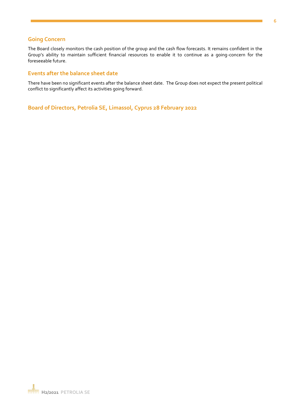#### **Going Concern**

The Board closely monitors the cash position of the group and the cash flow forecasts. It remains confident in the Group's ability to maintain sufficient financial resources to enable it to continue as a going-concern for the foreseeable future.

#### **Events after the balance sheet date**

There have been no significant events after the balance sheet date. The Group does not expect the present political conflict to significantly affect its activities going forward.

**Board of Directors, Petrolia SE, Limassol, Cyprus 28 February 2022**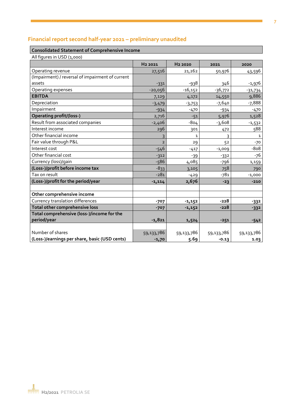# **Financial report second half-year 2021 – preliminary unaudited**

## **Consolidated Statement of Comprehensive Income**

| All figures in USD (1,000) |  |
|----------------------------|--|
|                            |  |

|                                                  | H <sub>2</sub> 2021 | H <sub>2</sub> 2020 | 2021       | 2020       |
|--------------------------------------------------|---------------------|---------------------|------------|------------|
| Operating revenue                                | 27,516              | 21,262              | 50,976     | 43,596     |
| (Impairment) / reversal of impairment of current |                     |                     |            |            |
| assets                                           | $-331$              | -938                | 346        | $-1,976$   |
| Operating expenses                               | $-20,056$           | $-16,152$           | $-36,772$  | $-31,734$  |
| <b>EBITDA</b>                                    | 7,129               | 4,172               | 14,550     | 9,886      |
| Depreciation                                     | $-3,479$            | $-3,753$            | $-7,640$   | -7,888     |
| Impairment                                       | $-934$              | $-470$              | $-934$     | $-470$     |
| <b>Operating profit/(loss-)</b>                  | 2,716               | $-51$               | 5,976      | 1,528      |
| Result from associated companies                 | $-2,406$            | $-804$              | $-3,608$   | $-1,532$   |
| Interest income                                  | 296                 | 301                 | 472        | 588        |
| Other financial income                           | 3                   | $\mathbf{1}$        | 3          | 1          |
| Fair value through P&L                           | $\overline{2}$      | 29                  | 52         | -70        |
| Interest cost                                    | $-546$              | $-417$              | $-1,009$   | $-808$     |
| Other financial cost                             | $-312$              | $-39$               | $-332$     | -76        |
| Currency (loss)/gain                             | $-586$              | 4,085               | -796       | 1,159      |
| (Loss-)/profit before income tax                 | $-833$              | 3,105               | 758        | 790        |
| Tax on result                                    | $-281$              | $-429$              | -781       | $-1,000$   |
| (Loss-)/profit for the period/year               | $-1,114$            | 2,676               | $-23$      | $-210$     |
|                                                  |                     |                     |            |            |
| Other comprehensive income                       |                     |                     |            |            |
| Currency translation differences                 | $-707$              | $-1,152$            | $-228$     | $-332$     |
| Total other comprehensive loss                   | $-707$              | $-1,152$            | $-228$     | $-332$     |
| Total comprehensive (loss-)/income for the       |                     |                     |            |            |
| period/year                                      | $-1,821$            | 1,524               | $-251$     | $-542$     |
|                                                  |                     |                     |            |            |
| Number of shares                                 | 59,133,786          | 59,133,786          | 59,133,786 | 59,133,786 |
| (Loss-)/earnings per share, basic (USD cents)    | $-1,70$             | 5.69                | $-0.13$    | 1.03       |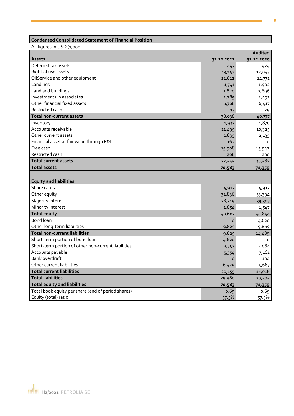## **Condensed Consolidated Statement of Financial Position**

All figures in USD (1,000)

|                                                     |            | Audited    |
|-----------------------------------------------------|------------|------------|
| <b>Assets</b>                                       | 31.12.2021 | 31.12.2020 |
| Deferred tax assets                                 | 443        | 424        |
| Right of use assets                                 | 13,152     | 12,047     |
| OilService and other equipment                      | 12,812     | 14,771     |
| Land rigs                                           | 1,741      | 1,902      |
| Land and buildings                                  | 1,820      | 2,696      |
| Investments in associates                           | 1,285      | 2,491      |
| Other financial fixed assets                        | 6,768      | 6,417      |
| Restricted cash                                     | 17         | 29         |
| Total non-current assets                            | 38,038     | 40,777     |
| Inventory                                           | 1,933      | 1,870      |
| Accounts receivable                                 | 11,495     | 10,325     |
| Other current assets                                | 2,839      | 2,135      |
| Financial asset at fair value through P&L           | 162        | 110        |
| Free cash                                           | 15,908     | 15,942     |
| Restricted cash                                     | 208        | 200        |
| Total current assets                                | 32,545     | 30,582     |
| <b>Total assets</b>                                 | 70,583     | 71,359     |
|                                                     |            |            |
| <b>Equity and liabilities</b>                       |            |            |
| Share capital                                       | 5,913      | 5,913      |
| Other equity                                        | 32,836     | 33,394     |
| Majority interest                                   | 38,749     | 39,307     |
| Minority interest                                   | 1,854      | 1,547      |
| <b>Total equity</b>                                 | 40,603     | 40,854     |
| <b>Bond loan</b>                                    | $\Omega$   | 4,620      |
| Other long-term liabilities                         | 9,825      | 9,869      |
| <b>Total non-current liabilities</b>                | 9,825      | 14,489     |
| Short-term portion of bond loan                     | 4,620      | $\circ$    |
| Short-term portion of other non-current liabilities | 3,752      | 3,084      |
| Accounts payable                                    | 5,354      | 7,161      |
| <b>Bank overdraft</b>                               | $\circ$    | 104        |
| Other current liabilities                           | 6,429      | 5,667      |
| <b>Total current liabilities</b>                    | 20,155     | 16,016     |
| <b>Total liabilities</b>                            | 29,980     | 30,505     |
| <b>Total equity and liabilities</b>                 | 70,583     | 71,359     |
| Total book equity per share (end of period shares)  | 0.69       | 0.69       |
| Equity (total) ratio                                | 57.5%      | 57.3%      |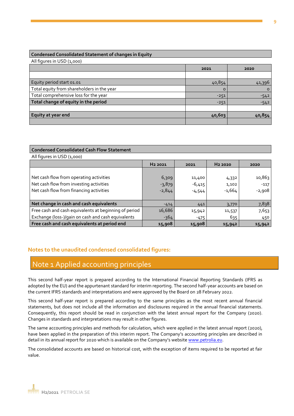#### **Condensed Consolidated Statement of changes in Equity**

All figures in USD (1,000)

|                                            | 2021   | 2020     |
|--------------------------------------------|--------|----------|
|                                            |        |          |
| Equity period start 01.01                  | 40,854 | 41,396   |
| Total equity from shareholders in the year | o      | $\Omega$ |
| Total comprehensive loss for the year      | $-251$ | $-542$   |
| Total change of equity in the period       | $-251$ | $-542$   |
|                                            |        |          |
| Equity at year end                         | 40,603 | 40,854   |
|                                            |        |          |

#### **Condensed Consolidated Cash Flow Statement**

All figures in USD (1,000)

|                                                       | H <sub>2</sub> 2021 | 2021     | H <sub>2</sub> 2020 | 2020     |
|-------------------------------------------------------|---------------------|----------|---------------------|----------|
|                                                       |                     |          |                     |          |
| Net cash flow from operating activities               | 6,309               | 11,400   | 4,332               | 10,863   |
| Net cash flow from investing activities               | $-3,879$            | $-6,415$ | 1,102               | $-117$   |
| Net cash flow from financing activities               | $-2,844$            | $-4,544$ | $-1,664$            | $-2,908$ |
|                                                       |                     |          |                     |          |
| Net change in cash and cash equivalents               | $-414$              | 441      | 3,770               | 7,838    |
| Free cash and cash equivalents at beginning of period | 16,686              | 15,942   | 11,537              | 7,653    |
| Exchange (loss-)/gain on cash and cash equivalents    | $-364$              | $-475$   | 635                 | 450      |
| Free cash and cash equivalents at period end          | 15,908              | 15,908   | 15,942              | 15,942   |

## **Notes to the unaudited condensed consolidated figures:**

# Note 1 Applied accounting principles

This second half-year report is prepared according to the International Financial Reporting Standards (IFRS as adopted by the EU) and the appurtenant standard for interim reporting. The second half-year accounts are based on the current IFRS standards and interpretations and were approved by the Board on 28 February 2022.

This second half-year report is prepared according to the same principles as the most recent annual financial statements, but does not include all the information and disclosures required in the annual financial statements. Consequently, this report should be read in conjunction with the latest annual report for the Company (2020). Changes in standards and interpretations may result in other figures.

The same accounting principles and methods for calculation, which were applied in the latest annual report (2020), have been applied in the preparation of this interim report. The Company's accounting principles are described in detail in its annual report for 2020 which is available on the Company's website www.petrolia.eu.

The consolidated accounts are based on historical cost, with the exception of items required to be reported at fair value.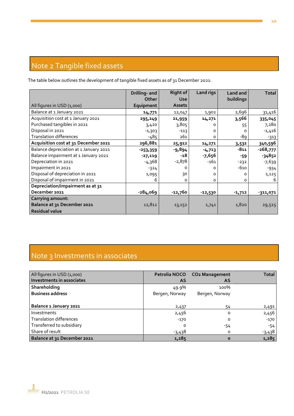# Note 2 Tangible fixed assets

The table below outlines the development of tangible fixed assets as of 31 December 2021:

|                                        | Drilling- and<br><b>Other</b> | <b>Right of</b><br><b>Use</b> | Land rigs | Land and<br>buildings | <b>Total</b> |
|----------------------------------------|-------------------------------|-------------------------------|-----------|-----------------------|--------------|
| All figures in USD (1,000)             | Equipment                     | <b>Assets</b>                 |           |                       |              |
| Balance at 1 January 2021              | 14,771                        | 12,047                        | 1,902     | 2,696                 | 31,416       |
| Acquisition cost at 1 January 2021     | 295,249                       | 21,959                        | 14,271    | 3,566                 | 335,045      |
| Purchased tangibles in 2021            | 3,420                         | 3,805                         | ∩         | 55                    | 7,280        |
| Disposal in 2021                       | $-1,303$                      | $-113$                        | O         |                       | $-1,416$     |
| <b>Translation differences</b>         | $-485$                        | 261                           | O         | -89                   | $-313$       |
| Acquisition cost at 31 December 2021   | 296,881                       | 25,912                        | 14,271    | 3,532                 | 340,596      |
| Balance depreciation at 1 January 2021 | $-253,359$                    | $-9,894$                      | $-4,713$  | $-811$                | $-268,777$   |
| Balance impairment at 1 January 2021   | $-27,119$                     | -18                           | $-7,656$  | -59                   | $-34852$     |
| Depreciation in 2021                   | $-4,368$                      | $-2,878$                      | $-161$    | -232                  | $-7,639$     |
| Impairment in 2021                     | $-324$                        | 0                             | $\Omega$  | -610                  | $-934$       |
| Disposal of depreciation in 2021       | 1,095                         | 30                            | $\Omega$  | O                     | 1,125        |
| Disposal of impairment in 2021         | 6                             | о                             | 0         | O                     | 6            |
| Depreciation/impairment as at 31       |                               |                               |           |                       |              |
| December 2021                          | $-284,069$                    | -12,760                       | $-12,530$ | $-1,712$              | -311,071     |
| <b>Carrying amount:</b>                |                               |                               |           |                       |              |
| Balance at 31 December 2021            | 12,812                        | 13,152                        | 1,741     | 1,820                 | 29,525       |
| <b>Residual value</b>                  |                               |                               |           |                       |              |

# Note 3 Investments in associates

| All figures in USD (1,000)     |                | Petrolia NOCO CO2 Management | <b>Total</b> |
|--------------------------------|----------------|------------------------------|--------------|
| Investments in associates      | <b>AS</b>      | <b>AS</b>                    |              |
| Shareholding                   | 49.9%          | 100%                         |              |
| <b>Business address</b>        | Bergen, Norway | Bergen, Norway               |              |
|                                |                |                              |              |
| Balance 1 January 2021         | 2,437          | 54                           | 2,491        |
| Investments                    | 2,456          | o                            | 2,456        |
| <b>Translation differences</b> | $-170$         | O                            | $-170$       |
| Transferred to subsidiary      | $\Omega$       | -54                          | $-54$        |
| Share of result                | $-3,438$       | O                            | $-3,438$     |
| Balance at 31 December 2021    | 1,285          | Ο                            | 1,285        |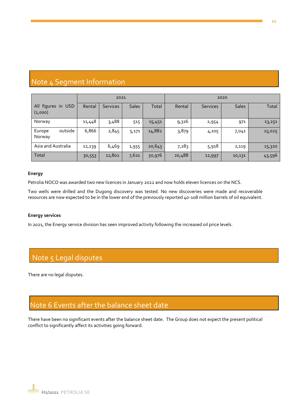# Note 4 Segment Information

|                               | 2021   |                 |              | 2020   |        |                 |              |        |
|-------------------------------|--------|-----------------|--------------|--------|--------|-----------------|--------------|--------|
| All figures in USD<br>(1,000) | Rental | <b>Services</b> | <b>Sales</b> | Total  | Rental | <b>Services</b> | <b>Sales</b> | Total  |
| Norway                        | 11,448 | 3,488           | 515          | 15,451 | 9,326  | 2,954           | 971          | 13,251 |
| outside<br>Europe<br>Norway   | 6,866  | 2,845           | 5,171        | 14,882 | 3,879  | 4,105           | 7,041        | 15,025 |
| Asia and Australia            | 12,239 | 6,469           | 1,935        | 20,643 | 7,283  | 5,918           | 2,119        | 15,320 |
| Total                         | 30,553 | 12,802          | 7,621        | 50,976 | 20,488 | 12,997          | 10,131       | 43,596 |

#### **Energy**

Petrolia NOCO was awarded two new licences in January 2022 and now holds eleven licences on the NCS.

Two wells were drilled and the Dugong discovery was tested. No new discoveries were made and recoverable resources are now expected to be in the lower end of the previously reported 40-108 million barrels of oil equivalent.

#### **Energy services**

In 2021, the Energy service division has seen improved activity following the increased oil price levels.

# Note 5 Legal disputes

There are no legal disputes.

# Note 6 Events after the balance sheet date

There have been no significant events after the balance sheet date. The Group does not expect the present political conflict to significantly affect its activities going forward.